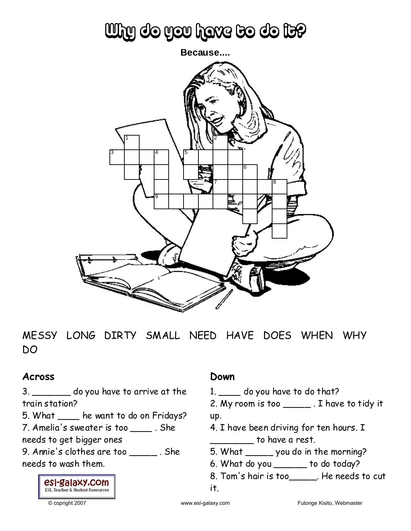# Why do you have to do it?



MESSY LONG DIRTY SMALL NEED HAVE DOES WHEN WHY DO

### **Across**

3. \_\_\_\_\_\_\_ do you have to arrive at the train station?

5. What \_\_\_\_ he want to do on Fridays?

7. Amelia's sweater is too \_\_\_\_ . She

needs to get bigger ones

9. Annie's clothes are too \_\_\_\_\_ . She needs to wash them.

### **Down**

- 1. \_\_\_\_ do you have to do that?
- 2. My room is too \_\_\_\_\_ . I have to tidy it up.
- 4. I have been driving for ten hours. I  $\frac{1}{\sqrt{2\pi}}$  to have a rest.
- 5. What \_\_\_\_\_ you do in the morning?
- 6. What do you \_\_\_\_\_\_ to do today?
- 8. Tom's hair is too\_\_\_\_\_. He needs to cut



it.